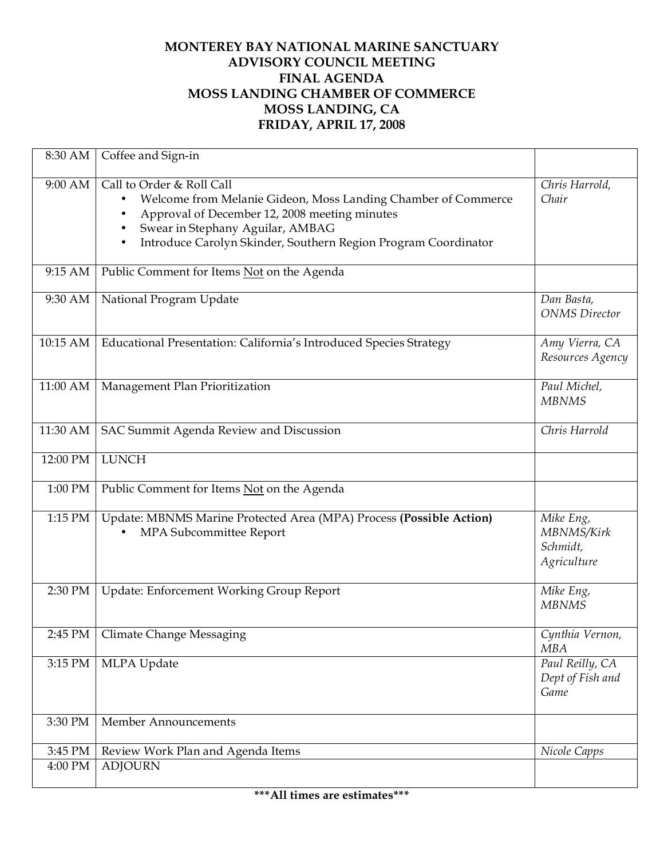## **MONTEREY BAY NATIONAL MARINE SANCTUARY ADVISORY COUNCIL MEETING FINAL AGENDA MOSS LANDING CHAMBER OF COMMERCE MOSS LANDING, CA FRIDAY, APRIL 17, 2008**

| 8:30 AM  | Coffee and Sign-in                                                                                                                                                                                                                                                    |                                                    |
|----------|-----------------------------------------------------------------------------------------------------------------------------------------------------------------------------------------------------------------------------------------------------------------------|----------------------------------------------------|
| 9:00 AM  | Call to Order & Roll Call<br>Welcome from Melanie Gideon, Moss Landing Chamber of Commerce<br>٠<br>Approval of December 12, 2008 meeting minutes<br>٠<br>Swear in Stephany Aguilar, AMBAG<br>٠<br>Introduce Carolyn Skinder, Southern Region Program Coordinator<br>٠ | Chris Harrold,<br>Chair                            |
| 9:15 AM  | Public Comment for Items Not on the Agenda                                                                                                                                                                                                                            |                                                    |
| 9:30 AM  | National Program Update                                                                                                                                                                                                                                               | Dan Basta,<br><b>ONMS</b> Director                 |
| 10:15 AM | Educational Presentation: California's Introduced Species Strategy                                                                                                                                                                                                    | Amy Vierra, CA<br>Resources Agency                 |
| 11:00 AM | Management Plan Prioritization                                                                                                                                                                                                                                        | Paul Michel,<br><b>MBNMS</b>                       |
| 11:30 AM | SAC Summit Agenda Review and Discussion                                                                                                                                                                                                                               | Chris Harrold                                      |
| 12:00 PM | <b>LUNCH</b>                                                                                                                                                                                                                                                          |                                                    |
| 1:00 PM  | Public Comment for Items Not on the Agenda                                                                                                                                                                                                                            |                                                    |
| 1:15 PM  | Update: MBNMS Marine Protected Area (MPA) Process (Possible Action)<br>MPA Subcommittee Report                                                                                                                                                                        | Mike Eng,<br>MBNMS/Kirk<br>Schmidt,<br>Agriculture |
| 2:30 PM  | Update: Enforcement Working Group Report                                                                                                                                                                                                                              | Mike Eng,<br><b>MBNMS</b>                          |
|          | 2:45 PM   Climate Change Messaging                                                                                                                                                                                                                                    | Cynthia Vernon,<br><b>MBA</b>                      |
| 3:15 PM  | MLPA Update                                                                                                                                                                                                                                                           | Paul Reilly, CA<br>Dept of Fish and<br>Game        |
| 3:30 PM  | Member Announcements                                                                                                                                                                                                                                                  |                                                    |
| 3:45 PM  | Review Work Plan and Agenda Items                                                                                                                                                                                                                                     | Nicole Capps                                       |
| 4:00 PM  | <b>ADJOURN</b>                                                                                                                                                                                                                                                        |                                                    |